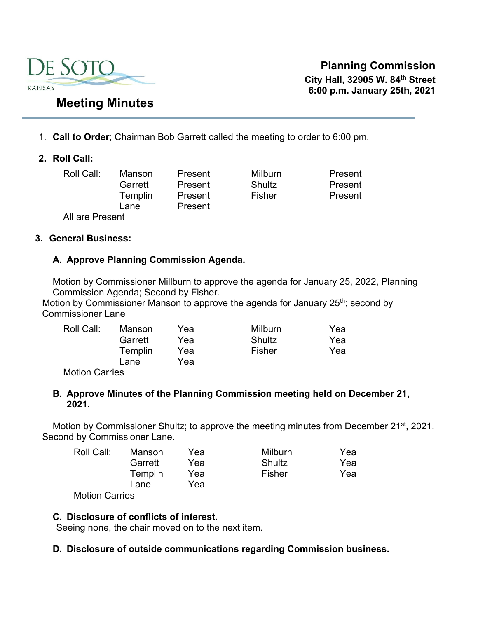

**Planning Commission City Hall, 32905 W. 84th Street 6:00 p.m. January 25th, 2021** 

# 1. **Call to Order**; Chairman Bob Garrett called the meeting to order to 6:00 pm.

#### **2. Roll Call:**

Roll Call: Manson Present Milburn Present Garrett Present Shultz Present Templin Present Fisher Present All are Present

Lane Present

#### **3. General Business:**

#### **A. Approve Planning Commission Agenda.**

Motion by Commissioner Millburn to approve the agenda for January 25, 2022, Planning Commission Agenda; Second by Fisher.

Motion by Commissioner Manson to approve the agenda for January  $25<sup>th</sup>$ ; second by Commissioner Lane

| Roll Call:                     | Manson  | Yea | Milburn | Yea |
|--------------------------------|---------|-----|---------|-----|
|                                | Garrett | Yea | Shultz  | Yea |
|                                | Templin | Yea | Fisher  | Yea |
|                                | Lane    | Yea |         |     |
| $M - 1$ . $\sim$ $\sim$ $\sim$ |         |     |         |     |

Motion Carries

#### **B. Approve Minutes of the Planning Commission meeting held on December 21, 2021.**

Motion by Commissioner Shultz; to approve the meeting minutes from December 21<sup>st</sup>, 2021. Second by Commissioner Lane.

| Roll Call: | Manson  | Yea | <b>Milburn</b> | Yea |
|------------|---------|-----|----------------|-----|
|            | Garrett | Yea | Shultz         | Yea |
|            | Templin | Yea | Fisher         | Yea |
|            | Lane    | Yea |                |     |
|            |         |     |                |     |

Motion Carries

### **C. Disclosure of conflicts of interest.**

Seeing none, the chair moved on to the next item.

#### **D. Disclosure of outside communications regarding Commission business.**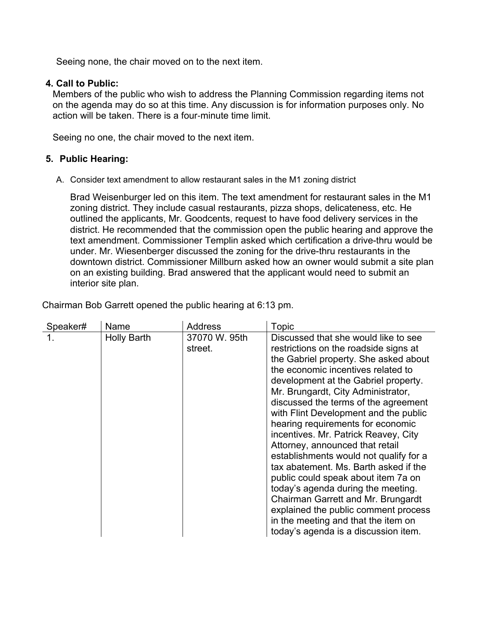Seeing none, the chair moved on to the next item.

#### **4. Call to Public:**

Members of the public who wish to address the Planning Commission regarding items not on the agenda may do so at this time. Any discussion is for information purposes only. No action will be taken. There is a four-minute time limit.

Seeing no one, the chair moved to the next item.

#### **5. Public Hearing:**

A. Consider text amendment to allow restaurant sales in the M1 zoning district

Brad Weisenburger led on this item. The text amendment for restaurant sales in the M1 zoning district. They include casual restaurants, pizza shops, delicateness, etc. He outlined the applicants, Mr. Goodcents, request to have food delivery services in the district. He recommended that the commission open the public hearing and approve the text amendment. Commissioner Templin asked which certification a drive-thru would be under. Mr. Wiesenberger discussed the zoning for the drive-thru restaurants in the downtown district. Commissioner Millburn asked how an owner would submit a site plan on an existing building. Brad answered that the applicant would need to submit an interior site plan.

| Speaker# | Name               | <b>Address</b>           | <b>Topic</b>                                                                                                                                                                                                                                                                                                                                                                                                                                                                                                                                                                                                                                                                                                                                                             |
|----------|--------------------|--------------------------|--------------------------------------------------------------------------------------------------------------------------------------------------------------------------------------------------------------------------------------------------------------------------------------------------------------------------------------------------------------------------------------------------------------------------------------------------------------------------------------------------------------------------------------------------------------------------------------------------------------------------------------------------------------------------------------------------------------------------------------------------------------------------|
|          | <b>Holly Barth</b> | 37070 W. 95th<br>street. | Discussed that she would like to see<br>restrictions on the roadside signs at<br>the Gabriel property. She asked about<br>the economic incentives related to<br>development at the Gabriel property.<br>Mr. Brungardt, City Administrator,<br>discussed the terms of the agreement<br>with Flint Development and the public<br>hearing requirements for economic<br>incentives. Mr. Patrick Reavey, City<br>Attorney, announced that retail<br>establishments would not qualify for a<br>tax abatement. Ms. Barth asked if the<br>public could speak about item 7a on<br>today's agenda during the meeting.<br>Chairman Garrett and Mr. Brungardt<br>explained the public comment process<br>in the meeting and that the item on<br>today's agenda is a discussion item. |

Chairman Bob Garrett opened the public hearing at 6:13 pm.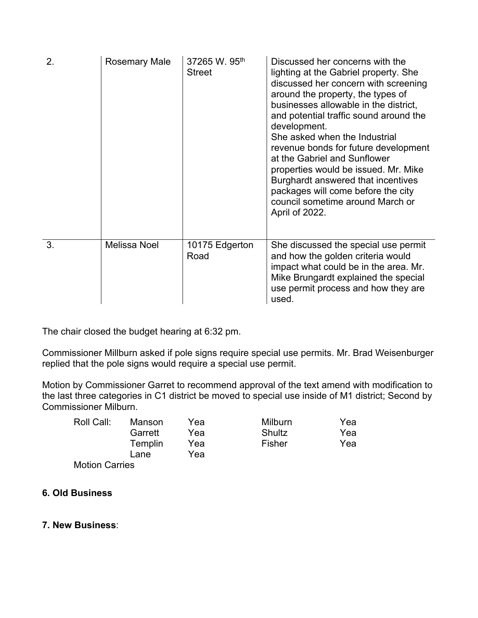| 2. | Rosemary Male       | 37265 W. 95th<br><b>Street</b> | Discussed her concerns with the<br>lighting at the Gabriel property. She<br>discussed her concern with screening<br>around the property, the types of<br>businesses allowable in the district,<br>and potential traffic sound around the<br>development.<br>She asked when the Industrial<br>revenue bonds for future development<br>at the Gabriel and Sunflower<br>properties would be issued. Mr. Mike<br>Burghardt answered that incentives<br>packages will come before the city<br>council sometime around March or<br>April of 2022. |
|----|---------------------|--------------------------------|---------------------------------------------------------------------------------------------------------------------------------------------------------------------------------------------------------------------------------------------------------------------------------------------------------------------------------------------------------------------------------------------------------------------------------------------------------------------------------------------------------------------------------------------|
| 3. | <b>Melissa Noel</b> | 10175 Edgerton<br>Road         | She discussed the special use permit<br>and how the golden criteria would<br>impact what could be in the area. Mr.<br>Mike Brungardt explained the special<br>use permit process and how they are<br>used.                                                                                                                                                                                                                                                                                                                                  |

The chair closed the budget hearing at 6:32 pm.

Commissioner Millburn asked if pole signs require special use permits. Mr. Brad Weisenburger replied that the pole signs would require a special use permit.

Motion by Commissioner Garret to recommend approval of the text amend with modification to the last three categories in C1 district be moved to special use inside of M1 district; Second by Commissioner Milburn.

| Roll Call: | Manson  | Yea | <b>Milburn</b> | Yea |
|------------|---------|-----|----------------|-----|
|            | Garrett | Yea | Shultz         | Yea |
|            | Templin | Yea | Fisher         | Yea |
|            | Lane    | Yea |                |     |
| .          |         |     |                |     |

Motion Carries

# **6. Old Business**

#### **7. New Business**: